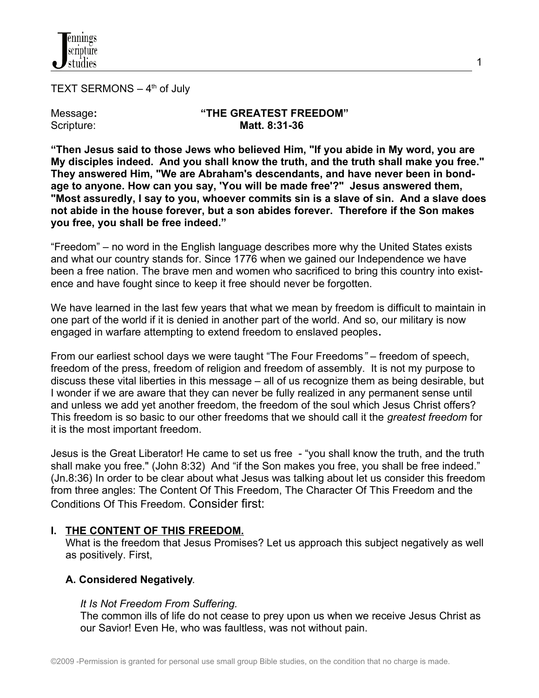

TEXT SERMONS  $-4<sup>th</sup>$  of July

#### Message: "THE GREATEST FREEDOM"<br>Scripture: Matt. 8:31-36 Scripture: **Matt. 8:31-36**

1

**"Then Jesus said to those Jews who believed Him, "If you abide in My word, you are My disciples indeed. And you shall know the truth, and the truth shall make you free." They answered Him, "We are Abraham's descendants, and have never been in bondage to anyone. How can you say, 'You will be made free'?" Jesus answered them, "Most assuredly, I say to you, whoever commits sin is a slave of sin. And a slave does not abide in the house forever, but a son abides forever. Therefore if the Son makes you free, you shall be free indeed."**

"Freedom" – no word in the English language describes more why the United States exists and what our country stands for. Since 1776 when we gained our Independence we have been a free nation. The brave men and women who sacrificed to bring this country into existence and have fought since to keep it free should never be forgotten.

We have learned in the last few years that what we mean by freedom is difficult to maintain in one part of the world if it is denied in another part of the world. And so, our military is now engaged in warfare attempting to extend freedom to enslaved peoples**.** 

From our earliest school days we were taught "The Four Freedoms*"* – freedom of speech, freedom of the press, freedom of religion and freedom of assembly. It is not my purpose to discuss these vital liberties in this message – all of us recognize them as being desirable, but I wonder if we are aware that they can never be fully realized in any permanent sense until and unless we add yet another freedom, the freedom of the soul which Jesus Christ offers? This freedom is so basic to our other freedoms that we should call it the *greatest freedom* for it is the most important freedom.

Jesus is the Great Liberator! He came to set us free - "you shall know the truth, and the truth shall make you free." (John 8:32) And "if the Son makes you free, you shall be free indeed." (Jn.8:36) In order to be clear about what Jesus was talking about let us consider this freedom from three angles: The Content Of This Freedom, The Character Of This Freedom and the Conditions Of This Freedom. Consider first:

### **I. THE CONTENT OF THIS FREEDOM.**

 What is the freedom that Jesus Promises? Let us approach this subject negatively as well as positively. First,

### **A. Considered Negatively**.

### *It Is Not Freedom From Suffering.*

 The common ills of life do not cease to prey upon us when we receive Jesus Christ as our Savior! Even He, who was faultless, was not without pain.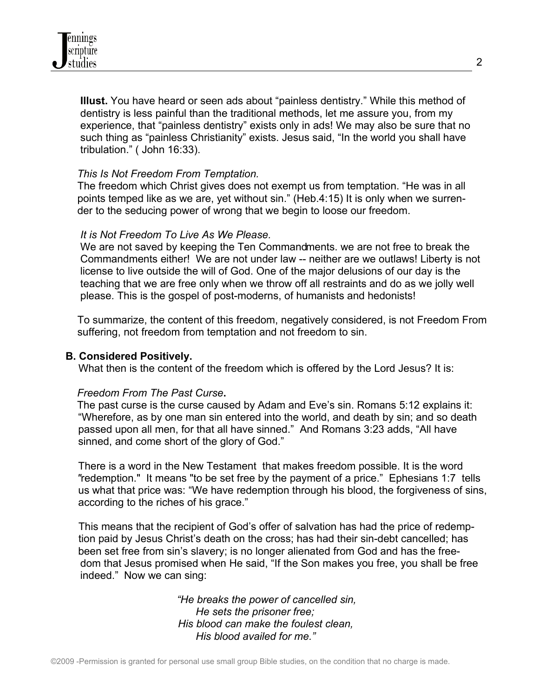**Illust.** You have heard or seen ads about "painless dentistry." While this method of dentistry is less painful than the traditional methods, let me assure you, from my experience, that "painless dentistry" exists only in ads! We may also be sure that no such thing as "painless Christianity" exists. Jesus said, "In the world you shall have tribulation." ( John 16:33).

### *This Is Not Freedom From Temptation.*

 The freedom which Christ gives does not exempt us from temptation. "He was in all points temped like as we are, yet without sin." (Heb.4:15) It is only when we surren der to the seducing power of wrong that we begin to loose our freedom.

### *It is Not Freedom To Live As We Please.*

 We are not saved by keeping the Ten Commandments. we are not free to break the Commandments either! We are not under law -- neither are we outlaws! Liberty is not license to live outside the will of God. One of the major delusions of our day is the teaching that we are free only when we throw off all restraints and do as we jolly well please. This is the gospel of post-moderns, of humanists and hedonists!

 To summarize, the content of this freedom, negatively considered, is not Freedom From suffering, not freedom from temptation and not freedom to sin.

### **B. Considered Positively.**

What then is the content of the freedom which is offered by the Lord Jesus? It is:

### *Freedom From The Past Curse***.**

The past curse is the curse caused by Adam and Eve's sin. Romans 5:12 explains it: "Wherefore, as by one man sin entered into the world, and death by sin; and so death passed upon all men, for that all have sinned." And Romans 3:23 adds, "All have sinned, and come short of the glory of God."

There is a word in the New Testament that makes freedom possible. It is the word *"*redemption." It means "to be set free by the payment of a price." Ephesians 1:7 tells us what that price was: "We have redemption through his blood, the forgiveness of sins, according to the riches of his grace."

 This means that the recipient of God's offer of salvation has had the price of redemp tion paid by Jesus Christ's death on the cross; has had their sin-debt cancelled; has been set free from sin's slavery; is no longer alienated from God and has the free dom that Jesus promised when He said, "If the Son makes you free, you shall be free indeed." Now we can sing:

> *"He breaks the power of cancelled sin, He sets the prisoner free; His blood can make the foulest clean, His blood availed for me."*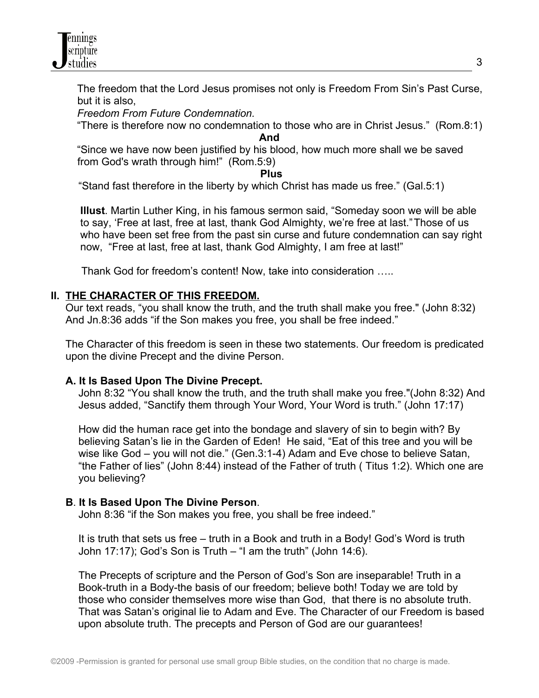

The freedom that the Lord Jesus promises not only is Freedom From Sin's Past Curse, but it is also,

*Freedom From Future Condemnation.*

"There is therefore now no condemnation to those who are in Christ Jesus." (Rom.8:1)

*And And And* 

"Since we have now been justified by his blood, how much more shall we be saved from God's wrath through him!" (Rom.5:9)

*Plus* **Plus** 

"Stand fast therefore in the liberty by which Christ has made us free." (Gal.5:1)

 **Illust**. Martin Luther King, in his famous sermon said, "Someday soon we will be able to say, 'Free at last, free at last, thank God Almighty, we're free at last."Those of us who have been set free from the past sin curse and future condemnation can say right now, "Free at last, free at last, thank God Almighty, I am free at last!"

Thank God for freedom's content! Now, take into consideration …..

### **II. THE CHARACTER OF THIS FREEDOM.**

Our text reads, "you shall know the truth, and the truth shall make you free." (John 8:32) And Jn.8:36 adds "if the Son makes you free, you shall be free indeed."

The Character of this freedom is seen in these two statements. Our freedom is predicated upon the divine Precept and the divine Person.

### **A. It Is Based Upon The Divine Precept.**

John 8:32 "You shall know the truth, and the truth shall make you free."(John 8:32) And Jesus added, "Sanctify them through Your Word, Your Word is truth." (John 17:17)

 How did the human race get into the bondage and slavery of sin to begin with? By believing Satan's lie in the Garden of Eden! He said, "Eat of this tree and you will be wise like God – you will not die." (Gen.3:1-4) Adam and Eve chose to believe Satan, "the Father of lies" (John 8:44) instead of the Father of truth ( Titus 1:2). Which one are you believing?

### **B**. **It Is Based Upon The Divine Person**.

John 8:36 "if the Son makes you free, you shall be free indeed."

 It is truth that sets us free – truth in a Book and truth in a Body! God's Word is truth John 17:17); God's Son is Truth – "I am the truth" (John 14:6).

 The Precepts of scripture and the Person of God's Son are inseparable! Truth in a Book-truth in a Body-the basis of our freedom; believe both! Today we are told by those who consider themselves more wise than God, that there is no absolute truth. That was Satan's original lie to Adam and Eve. The Character of our Freedom is based upon absolute truth. The precepts and Person of God are our guarantees!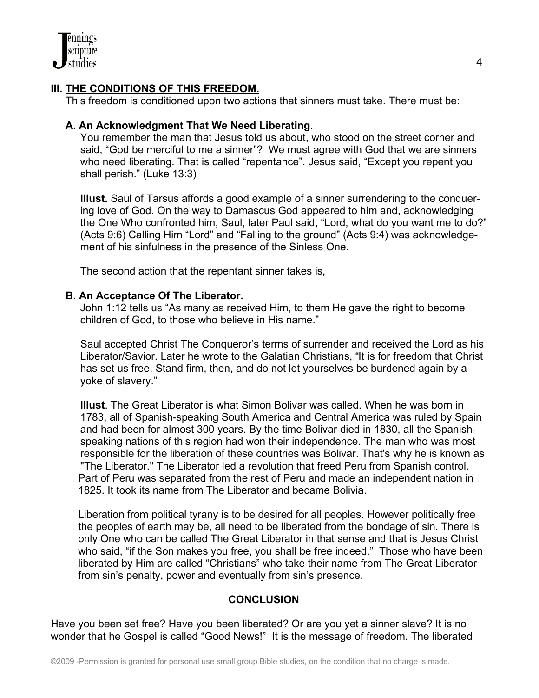## **III. THE CONDITIONS OF THIS FREEDOM.**

This freedom is conditioned upon two actions that sinners must take. There must be:

### **A. An Acknowledgment That We Need Liberating**.

 You remember the man that Jesus told us about, who stood on the street corner and said, "God be merciful to me a sinner"? We must agree with God that we are sinners who need liberating. That is called "repentance". Jesus said, "Except you repent you shall perish." (Luke 13:3)

 **Illust.** Saul of Tarsus affords a good example of a sinner surrendering to the conquer ing love of God. On the way to Damascus God appeared to him and, acknowledging the One Who confronted him, Saul, later Paul said, "Lord, what do you want me to do?" (Acts 9:6) Calling Him "Lord" and "Falling to the ground" (Acts 9:4) was acknowledge ment of his sinfulness in the presence of the Sinless One.

The second action that the repentant sinner takes is,

### **B. An Acceptance Of The Liberator.**

John 1:12 tells us "As many as received Him, to them He gave the right to become children of God, to those who believe in His name."

 Saul accepted Christ The Conqueror's terms of surrender and received the Lord as his Liberator/Savior. Later he wrote to the Galatian Christians, "It is for freedom that Christ has set us free. Stand firm, then, and do not let yourselves be burdened again by a yoke of slavery."

 **Illust**. The Great Liberator is what Simon Bolivar was called. When he was born in 1783, all of Spanish-speaking South America and Central America was ruled by Spain and had been for almost 300 years. By the time Bolivar died in 1830, all the Spanish speaking nations of this region had won their independence. The man who was most responsible for the liberation of these countries was Bolivar. That's why he is known as "The Liberator." The Liberator led a revolution that freed Peru from Spanish control. Part of Peru was separated from the rest of Peru and made an independent nation in 1825. It took its name from The Liberator and became Bolivia.

Liberation from political tyrany is to be desired for all peoples. However politically free the peoples of earth may be, all need to be liberated from the bondage of sin. There is only One who can be called The Great Liberator in that sense and that is Jesus Christ who said, "if the Son makes you free, you shall be free indeed." Those who have been liberated by Him are called "Christians" who take their name from The Great Liberator from sin's penalty, power and eventually from sin's presence.

### **CONCLUSION**

Have you been set free? Have you been liberated? Or are you yet a sinner slave? It is no wonder that he Gospel is called "Good News!" It is the message of freedom. The liberated